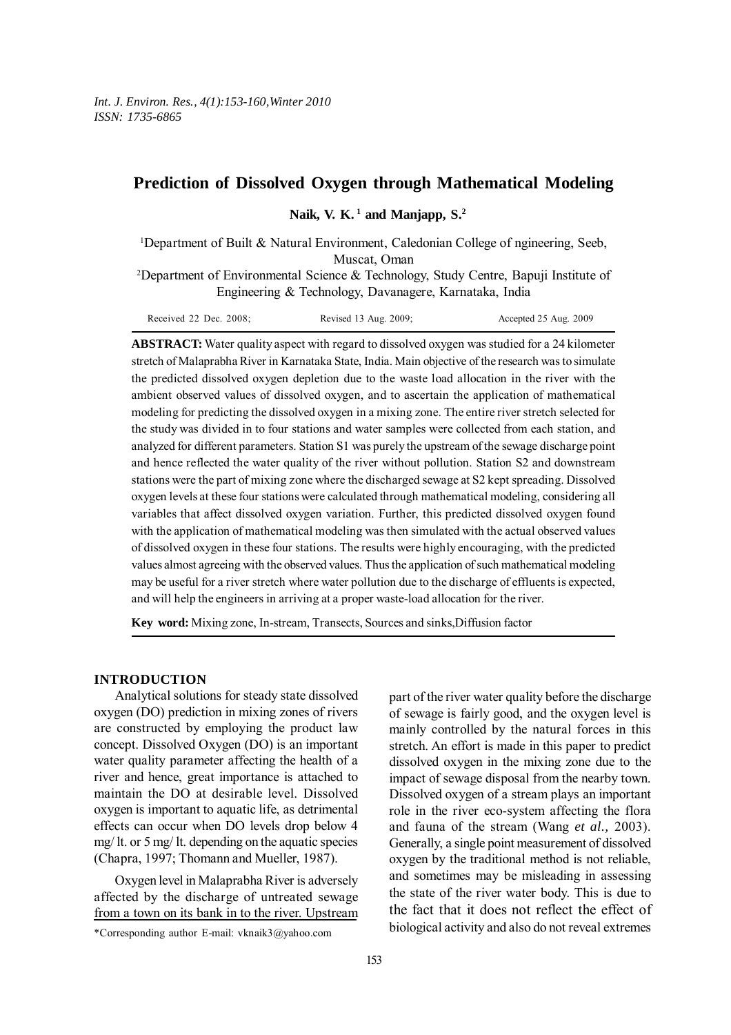## **Prediction of Dissolved Oxygen through Mathematical Modeling**

Naik, V. K.<sup>1</sup> and Manjapp, S.<sup>2</sup>

1 Department of Built & Natural Environment, Caledonian College of ngineering, Seeb, Muscat, Oman

2 Department of Environmental Science & Technology, Study Centre, Bapuji Institute of Engineering & Technology, Davanagere, Karnataka, India

| Received 22 Dec. $2008$ ; | Revised 13 Aug. 2009; | Accepted 25 Aug. 2009 |
|---------------------------|-----------------------|-----------------------|
|---------------------------|-----------------------|-----------------------|

**ABSTRACT:** Water quality aspect with regard to dissolved oxygen was studied for a 24 kilometer stretch of Malaprabha River in Karnataka State, India. Main objective of the research was to simulate the predicted dissolved oxygen depletion due to the waste load allocation in the river with the ambient observed values of dissolved oxygen, and to ascertain the application of mathematical modeling for predicting the dissolved oxygen in a mixing zone. The entire river stretch selected for the study was divided in to four stations and water samples were collected from each station, and analyzed for different parameters. Station S1 was purely the upstream of the sewage discharge point and hence reflected the water quality of the river without pollution. Station S2 and downstream stations were the part of mixing zone where the discharged sewage at S2 kept spreading. Dissolved oxygen levels at these four stations were calculated through mathematical modeling, considering all variables that affect dissolved oxygen variation. Further, this predicted dissolved oxygen found with the application of mathematical modeling was then simulated with the actual observed values of dissolved oxygen in these four stations. The results were highly encouraging, with the predicted values almost agreeing with the observed values. Thus the application of such mathematical modeling may be useful for a river stretch where water pollution due to the discharge of effluents is expected, and will help the engineers in arriving at a proper waste-load allocation for the river.

**Key word:** Mixing zone, In-stream, Transects, Sources and sinks,Diffusion factor

#### **INTRODUCTION**

Analytical solutions for steady state dissolved oxygen (DO) prediction in mixing zones of rivers are constructed by employing the product law concept. Dissolved Oxygen (DO) is an important water quality parameter affecting the health of a river and hence, great importance is attached to maintain the DO at desirable level. Dissolved oxygen is important to aquatic life, as detrimental effects can occur when DO levels drop below 4 mg/ lt. or 5 mg/ lt. depending on the aquatic species (Chapra, 1997; Thomann and Mueller, 1987).

Oxygen level in Malaprabha River is adversely affected by the discharge of untreated sewage from a town on its bank in to the river. Upstream

part of the river water quality before the discharge of sewage is fairly good, and the oxygen level is mainly controlled by the natural forces in this stretch. An effort is made in this paper to predict dissolved oxygen in the mixing zone due to the impact of sewage disposal from the nearby town. Dissolved oxygen of a stream plays an important role in the river eco-system affecting the flora and fauna of the stream (Wang *et al.,* 2003). Generally, a single point measurement of dissolved oxygen by the traditional method is not reliable, and sometimes may be misleading in assessing the state of the river water body. This is due to the fact that it does not reflect the effect of biological activity and also do not reveal extremes

<sup>\*</sup>Corresponding author E-mail: vknaik3@yahoo.com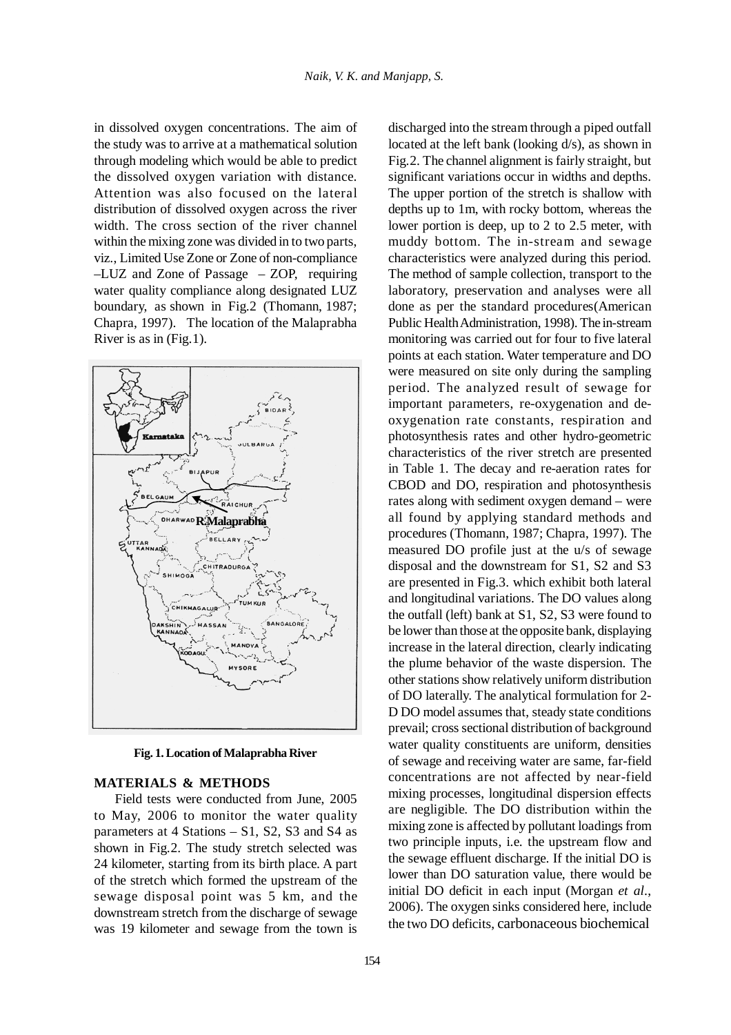in dissolved oxygen concentrations. The aim of the study was to arrive at a mathematical solution through modeling which would be able to predict the dissolved oxygen variation with distance. Attention was also focused on the lateral distribution of dissolved oxygen across the river width. The cross section of the river channel within the mixing zone was divided in to two parts, viz., Limited Use Zone or Zone of non-compliance –LUZ and Zone of Passage – ZOP, requiring water quality compliance along designated LUZ boundary, as shown in Fig.2 (Thomann, 1987; Chapra, 1997). The location of the Malaprabha River is as in (Fig.1).



**Fig. 1. Location of Malaprabha River**

#### **MATERIALS & METHODS**

Field tests were conducted from June, 2005 to May, 2006 to monitor the water quality parameters at 4 Stations – S1, S2, S3 and S4 as shown in Fig.2. The study stretch selected was 24 kilometer, starting from its birth place. A part of the stretch which formed the upstream of the sewage disposal point was 5 km, and the downstream stretch from the discharge of sewage was 19 kilometer and sewage from the town is

154

discharged into the stream through a piped outfall located at the left bank (looking d/s), as shown in Fig.2. The channel alignment is fairly straight, but significant variations occur in widths and depths. The upper portion of the stretch is shallow with depths up to 1m, with rocky bottom, whereas the lower portion is deep, up to 2 to 2.5 meter, with muddy bottom. The in-stream and sewage characteristics were analyzed during this period. The method of sample collection, transport to the laboratory, preservation and analyses were all done as per the standard procedures(American Public Health Administration, 1998). The in-stream monitoring was carried out for four to five lateral points at each station. Water temperature and DO were measured on site only during the sampling period. The analyzed result of sewage for important parameters, re-oxygenation and deoxygenation rate constants, respiration and photosynthesis rates and other hydro-geometric characteristics of the river stretch are presented in Table 1. The decay and re-aeration rates for CBOD and DO, respiration and photosynthesis rates along with sediment oxygen demand – were all found by applying standard methods and procedures (Thomann, 1987; Chapra, 1997). The measured DO profile just at the u/s of sewage disposal and the downstream for S1, S2 and S3 are presented in Fig.3. which exhibit both lateral and longitudinal variations. The DO values along the outfall (left) bank at S1, S2, S3 were found to be lower than those at the opposite bank, displaying increase in the lateral direction, clearly indicating the plume behavior of the waste dispersion. The other stations show relatively uniform distribution of DO laterally. The analytical formulation for 2- D DO model assumes that, steady state conditions prevail; cross sectional distribution of background water quality constituents are uniform, densities of sewage and receiving water are same, far-field concentrations are not affected by near-field mixing processes, longitudinal dispersion effects are negligible. The DO distribution within the mixing zone is affected by pollutant loadings from two principle inputs, i.e. the upstream flow and the sewage effluent discharge. If the initial DO is lower than DO saturation value, there would be initial DO deficit in each input (Morgan *et al*., 2006). The oxygen sinks considered here, include the two DO deficits, carbonaceous biochemical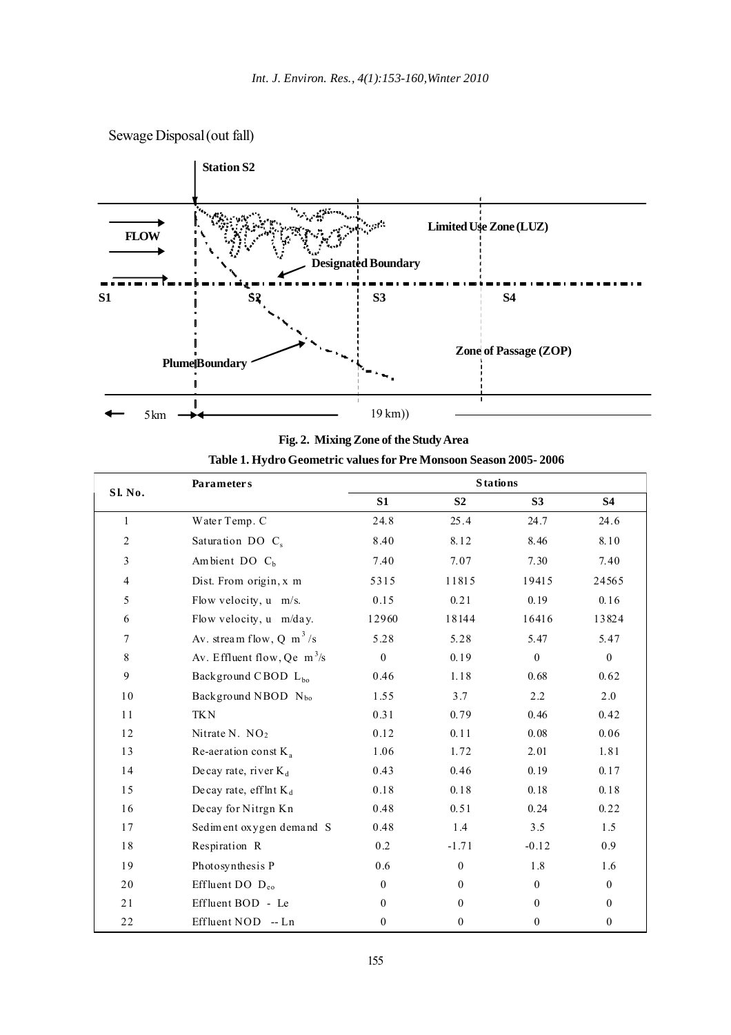



|  |  | Table 1. Hydro Geometric values for Pre Monsoon Season 2005- 2006 |  |
|--|--|-------------------------------------------------------------------|--|
|  |  |                                                                   |  |

|                | <b>Parameters</b>                    | <b>Stations</b> |                  |                |                  |  |
|----------------|--------------------------------------|-----------------|------------------|----------------|------------------|--|
| Sl. No.        |                                      | S <sub>1</sub>  | S <sub>2</sub>   | S3             | <b>S4</b>        |  |
| $\mathbf{1}$   | Water Temp. C                        | 24.8            | 25.4             | 24.7           | 24.6             |  |
| $\sqrt{2}$     | Saturation DO C <sub>s</sub>         | 8.40            | 8.12             | 8.46           | 8.10             |  |
| $\mathfrak{Z}$ | Ambient DO $Cb$                      | 7.40            | 7.07             | 7.30           | 7.40             |  |
| $\overline{4}$ | Dist. From origin, x m               | 5315            | 11815            | 19415          | 24565            |  |
| 5              | Flow velocity, u m/s.                | 0.15            | 0.21             | 0.19           | 0.16             |  |
| 6              | Flow velocity, u m/day.              | 12960           | 18144            | 16416          | 13824            |  |
| 7              | Av. stream flow, Q m <sup>3</sup> /s | 5.28            | 5.28             | 5.47           | 5.47             |  |
| $\,8\,$        | Av. Effluent flow, Qe $m^3/s$        | $\overline{0}$  | 0.19             | $\mathbf{0}$   | $\overline{0}$   |  |
| $\mathbf{9}$   | Background CBOD L <sub>bo</sub>      | 0.46            | 1.18             | 0.68           | 0.62             |  |
| 10             | Background NBOD N <sub>bo</sub>      | 1.55            | 3.7              | 2.2            | 2.0              |  |
| 11             | <b>TKN</b>                           | 0.31            | 0.79             | 0.46           | 0.42             |  |
| 12             | Nitrate N. $NO2$                     | 0.12            | 0.11             | 0.08           | 0.06             |  |
| 13             | Re-aeration const $K_a$              | 1.06            | 1.72             | 2.01           | 1.81             |  |
| 14             | Decay rate, river $K_d$              | 0.43            | 0.46             | 0.19           | 0.17             |  |
| 15             | Decay rate, efflnt $K_d$             | 0.18            | 0.18             | 0.18           | 0.18             |  |
| 16             | Decay for Nitrgn Kn                  | 0.48            | 0.51             | 0.24           | 0.22             |  |
| 17             | Sediment oxygen demand S             | 0.48            | 1.4              | 3.5            | 1.5              |  |
| $1\,8$         | Respiration R                        | 0.2             | $-1.71$          | $-0.12$        | 0.9              |  |
| 19             | Photosynthesis P                     | 0.6             | $\boldsymbol{0}$ | 1.8            | 1.6              |  |
| 20             | Effluent DO $D_{eo}$                 | $\overline{0}$  | $\theta$         | $\overline{0}$ | $\overline{0}$   |  |
| 21             | Effluent BOD - Le                    | $\theta$        | $\theta$         | $\theta$       | $\theta$         |  |
| $2\sqrt{2}$    | Effluent NOD -- Ln                   | $\Omega$        | $\mathbf{0}$     | $\mathbf{0}$   | $\boldsymbol{0}$ |  |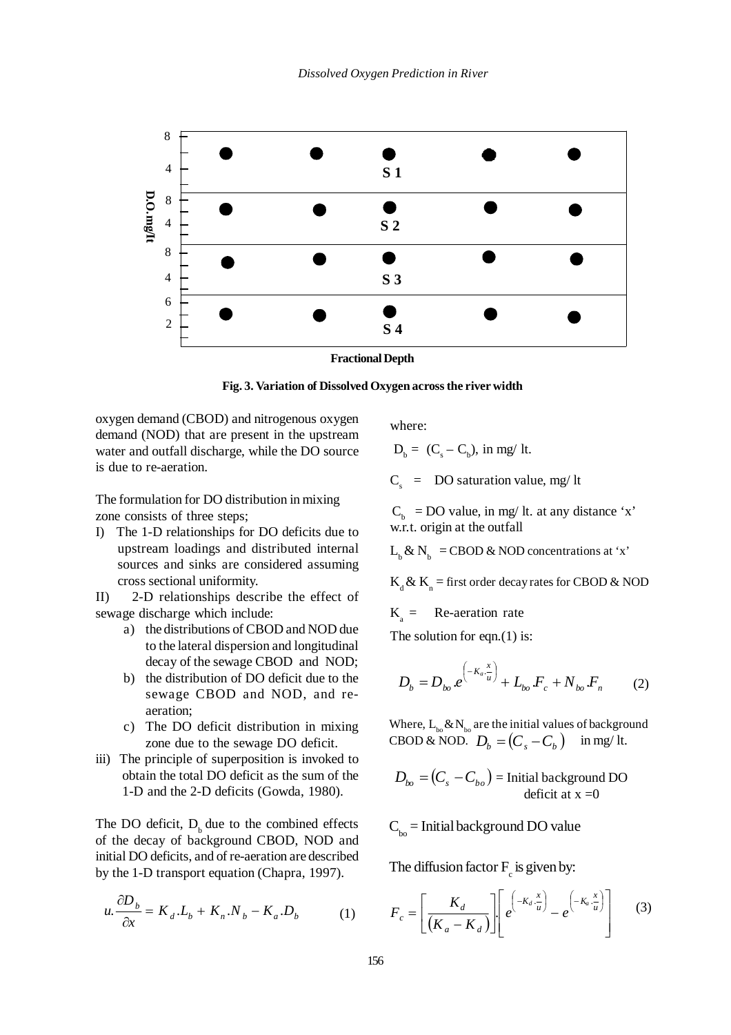

**Fractional Depth**

**Fig. 3. Variation of Dissolved Oxygen across the river width**

oxygen demand (CBOD) and nitrogenous oxygen demand (NOD) that are present in the upstream water and outfall discharge, while the DO source is due to re-aeration.

The formulation for DO distribution in mixing zone consists of three steps;

I) The 1-D relationships for DO deficits due to upstream loadings and distributed internal sources and sinks are considered assuming cross sectional uniformity.

II) 2-D relationships describe the effect of sewage discharge which include:

- a) the distributions of CBOD and NOD due to the lateral dispersion and longitudinal decay of the sewage CBOD and NOD;
- b) the distribution of DO deficit due to the sewage CBOD and NOD, and reaeration;
- c) The DO deficit distribution in mixing zone due to the sewage DO deficit.
- iii) The principle of superposition is invoked to obtain the total DO deficit as the sum of the 1-D and the 2-D deficits (Gowda, 1980).

The DO deficit,  $D_b$  due to the combined effects of the decay of background CBOD, NOD and initial DO deficits, and of re-aeration are described by the 1-D transport equation (Chapra, 1997).

$$
u.\frac{\partial D_b}{\partial x} = K_d.L_b + K_n.N_b - K_a.D_b \tag{1}
$$

where:

$$
D_{b} = (C_{s} - C_{b}), \text{ in mg/ It.}
$$

 $C_s$  = DO saturation value, mg/ lt

 $C_b$  = DO value, in mg/ lt. at any distance 'x' w.r.t. origin at the outfall

 $L_b \& N_b$  = CBOD & NOD concentrations at 'x'

 $K_d \& K_n$  = first order decay rates for CBOD & NOD

 $K<sub>a</sub>$  = Re-aeration rate

The solution for eqn. $(1)$  is:

$$
D_b = D_{bo} e^{-K_a \frac{x}{u}} + L_{bo} F_c + N_{bo} F_n
$$
 (2)

 $\text{CBOD} \& \text{NOD.}$   $D_b = (C_s - C_b)$  in mg/ lt. Where,  $L_{b_0} \& N_{b_0}$  are the initial values of background

 $D_{bo} = \left( C_{_S} - C_{bo} \right)$  = Initial background DO deficit at  $x = 0$ 

 $C_{\text{ho}}$  = Initial background DO value

The diffusion factor  $F_c$  is given by:

$$
F_c = \left[\frac{K_d}{\left(K_a - K_d\right)}\right] \left[e^{\left(-K_d \cdot \frac{x}{u}\right)} - e^{\left(-K_a \cdot \frac{x}{u}\right)}\right] \tag{3}
$$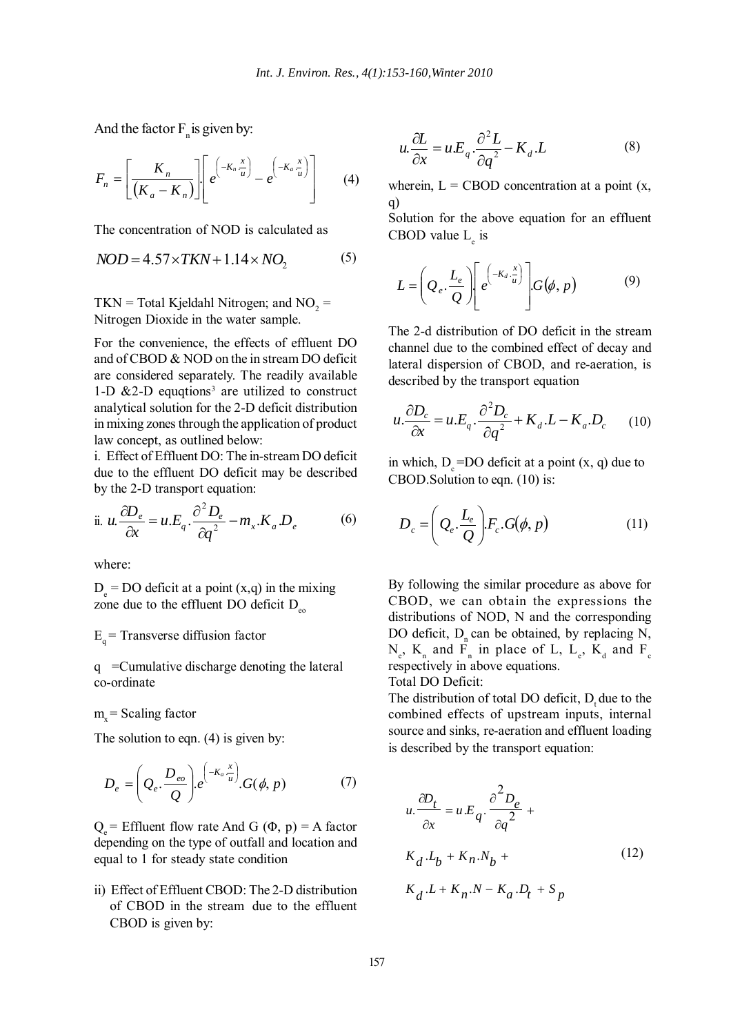And the factor  $F_n$  is given by:

$$
F_n = \left[ \frac{K_n}{\left( K_a - K_n \right)} \right] \left[ e^{\left( -K_n \frac{x}{u} \right)} - e^{\left( -K_a \frac{x}{u} \right)} \right] \tag{4}
$$

The concentration of NOD is calculated as

$$
NOD = 4.57 \times TKN + 1.14 \times NO_2 \tag{5}
$$

 $TKN = Total Kjeldahl Nitrogen;$  and  $NO_2 =$ Nitrogen Dioxide in the water sample.

For the convenience, the effects of effluent DO and of CBOD & NOD on the in stream DO deficit are considered separately. The readily available 1-D  $&2$ -D equqtions<sup>3</sup> are utilized to construct analytical solution for the 2-D deficit distribution in mixing zones through the application of product law concept, as outlined below:

i. Effect of Effluent DO: The in-stream DO deficit due to the effluent DO deficit may be described by the 2-D transport equation:

ii. 
$$
u \cdot \frac{\partial D_e}{\partial x} = u \cdot E_q \cdot \frac{\partial^2 D_e}{\partial q^2} - m_x \cdot K_a D_e
$$
 (6)

where:

 $D_e$  = DO deficit at a point  $(x,q)$  in the mixing zone due to the effluent DO deficit  $D_{\infty}$ 

### $E<sub>a</sub>$  = Transverse diffusion factor

q =Cumulative discharge denoting the lateral co-ordinate

 $m<sub>v</sub>$  = Scaling factor

The solution to eqn. (4) is given by:

$$
D_e = \left(Q_e \cdot \frac{D_{eo}}{Q}\right) e^{\left(-K_a \cdot \frac{x}{u}\right)} G(\phi, p) \tag{7}
$$

 $Q =$  Effluent flow rate And G ( $\Phi$ , p) = A factor depending on the type of outfall and location and equal to 1 for steady state condition

ii) Effect of Effluent CBOD: The 2-D distribution of CBOD in the stream due to the effluent CBOD is given by:

$$
u.\frac{\partial L}{\partial x} = u.E_q.\frac{\partial^2 L}{\partial q^2} - K_d.L
$$
 (8)

wherein,  $L =$  CBOD concentration at a point  $(x,$ q)

Solution for the above equation for an effluent CBOD value  $L_{e}$  is

$$
L = \left(Q_e \cdot \frac{L_e}{Q}\right) \left[e^{\left(-K_d \cdot \frac{x}{u}\right)}\right] G(\phi, p) \tag{9}
$$

The 2-d distribution of DO deficit in the stream channel due to the combined effect of decay and lateral dispersion of CBOD, and re-aeration, is described by the transport equation

$$
u.\frac{\partial D_c}{\partial x} = u.E_q.\frac{\partial^2 D_c}{\partial q^2} + K_d.L - K_a.D_c \qquad (10)
$$

in which,  $D_c = DO$  deficit at a point  $(x, q)$  due to CBOD.Solution to eqn. (10) is:

$$
D_c = \left(Q_e \cdot \frac{L_e}{Q}\right) F_c \cdot G(\phi, p) \tag{11}
$$

By following the similar procedure as above for CBOD, we can obtain the expressions the distributions of NOD, N and the corresponding DO deficit,  $D_n$  can be obtained, by replacing N,  $N_e$ ,  $K_n$  and  $F_n$  in place of L,  $L_e$ ,  $K_d$  and  $F_c$ respectively in above equations. Total DO Deficit:

The distribution of total DO deficit,  $D_t$  due to the combined effects of upstream inputs, internal source and sinks, re-aeration and effluent loading is described by the transport equation:

$$
u. \frac{\partial D_t}{\partial x} = u.E_q \cdot \frac{\partial^2 D_e}{\partial q^2} + K_d \cdot L_b + K_n \cdot N_b +
$$
\n
$$
K_d \cdot L + K_n \cdot N - K_a \cdot D_t + S_p
$$
\n(12)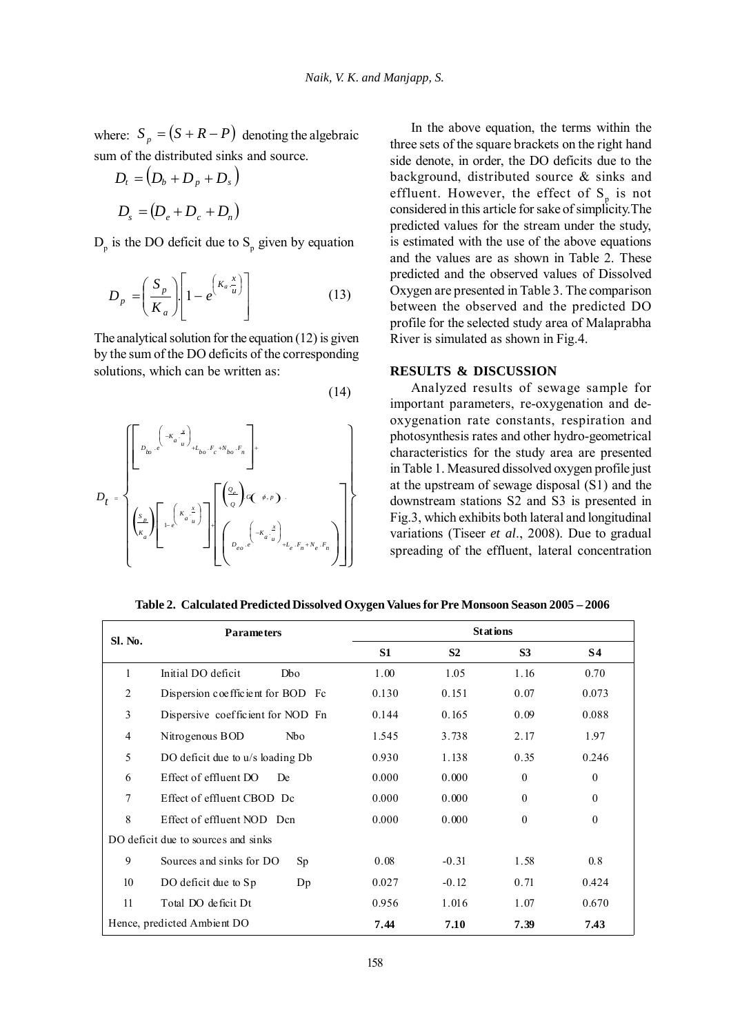where:  $S_p = (S + R - P)$  denoting the algebraic sum of the distributed sinks and source.

$$
D_t = (D_b + D_p + D_s)
$$
  

$$
D_s = (D_e + D_c + D_n)
$$

 $D_p$  is the DO deficit due to  $S_p$  given by equation

$$
D_p = \left(\frac{S_p}{K_a}\right) \left[1 - e^{\left(K_a \frac{x}{u}\right)}\right]
$$
 (13)

The analytical solution for the equation (12) is given by the sum of the DO deficits of the corresponding solutions, which can be written as:





In the above equation, the terms within the three sets of the square brackets on the right hand side denote, in order, the DO deficits due to the background, distributed source & sinks and effluent. However, the effect of  $S_n$  is not considered in this article for sake of simplicity.The predicted values for the stream under the study, is estimated with the use of the above equations and the values are as shown in Table 2. These predicted and the observed values of Dissolved Oxygen are presented in Table 3. The comparison between the observed and the predicted DO profile for the selected study area of Malaprabha River is simulated as shown in Fig.4.

#### **RESULTS & DISCUSSION**

Analyzed results of sewage sample for important parameters, re-oxygenation and deoxygenation rate constants, respiration and photosynthesis rates and other hydro-geometrical characteristics for the study area are presented in Table 1. Measured dissolved oxygen profile just at the upstream of sewage disposal (S1) and the downstream stations S2 and S3 is presented in Fig.3, which exhibits both lateral and longitudinal variations (Tiseer *et al*., 2008). Due to gradual spreading of the effluent, lateral concentration

# **Stations Sl. No. Parameters S1 S2 S3 S4**  1 Initial DO deficit Dbo 1.00 1.05 1.16 0.70 2 Dispersion coefficient for BOD Fc 0.130 0.151 0.07 0.073 3 Dispersive coefficient for NOD Fn 0.144 0.165 0.09 0.088 4 Nitrogenous BOD Nbo 1.545 3.738 2.17 1.97 5 DO deficit due to u/s loading Db 0.930 1.138 0.35 0.246 6 Effect of effluent DO De  $0.000$   $0.000$  0.000 0 0 7 Effect of effluent CBOD Dc 0.000 0.000 0 0 0 0

**Table 2. Calculated Predicted Dissolved Oxygen Values for Pre Monsoon Season 2005 – 2006**

|                                     | Hence, predicted Ambient DO       |                  | 7.44  | 7.10    | 7.39             | 7.43             |
|-------------------------------------|-----------------------------------|------------------|-------|---------|------------------|------------------|
| 11                                  | Total DO deficit Dt               |                  | 0.956 | 1.016   | 1.07             | 0.670            |
| 10                                  | DO deficit due to Sp              | Dp               | 0.027 | $-0.12$ | 0.71             | 0.424            |
| 9                                   | Sources and sinks for DO          | Sp               | 0.08  | $-0.31$ | 1.58             | 0.8              |
| DO deficit due to sources and sinks |                                   |                  |       |         |                  |                  |
| 8                                   | Effect of effluent NOD Dcn        |                  | 0.000 | 0.000   | 0                | $\theta$         |
| 7                                   | Effect of effluent CBOD Dc        |                  | 0.000 | 0.000   | $\theta$         | $\theta$         |
| 6                                   | Effect of effluent DO<br>De       |                  | 0.000 | 0.000   | $\boldsymbol{0}$ | $\boldsymbol{0}$ |
| 5                                   | DO deficit due to u/s loading Db  |                  | 0.930 | 1.138   | 0.35             | 0.246            |
| $\overline{4}$                      | Nitrogenous BOD                   | N <sub>b</sub> o | 1.545 | 3.738   | 2.17             | 1.97             |
| Ć                                   | Dispersive coefficient for NOD Fn |                  | V.144 | U. 100  | U.U.             | <b>0.088</b>     |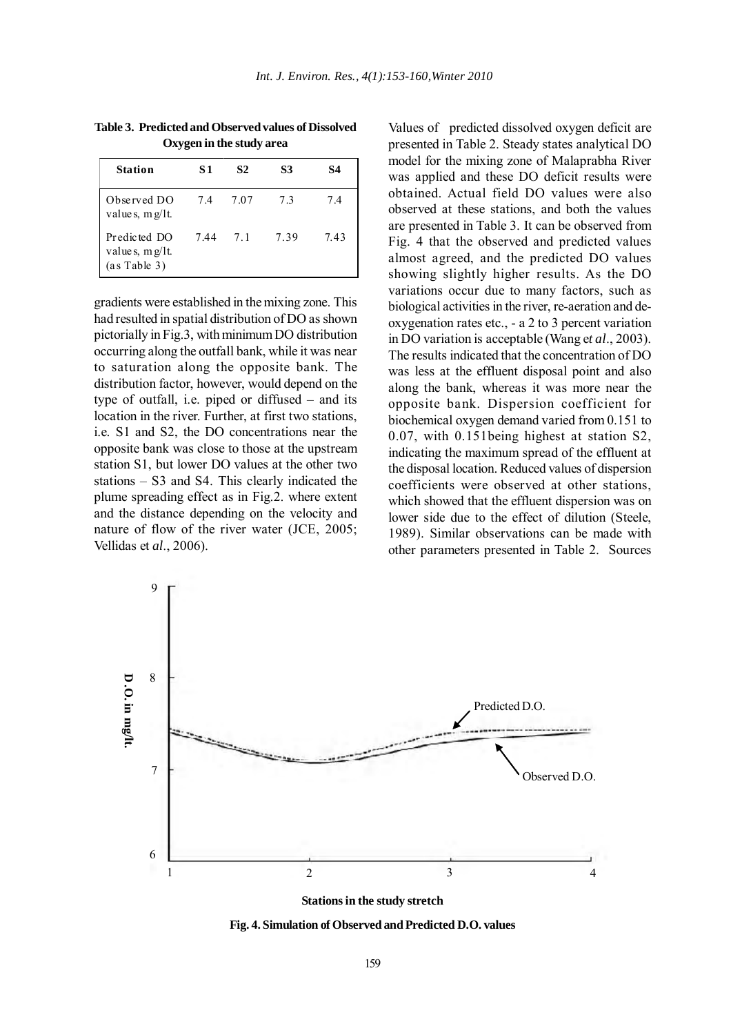| <b>Table 3. Predicted and Observed values of Dissolved</b> |
|------------------------------------------------------------|
| Oxygen in the study area                                   |

| <b>Station</b>                                     | S1  | S <sub>2</sub> | S3  | S4  |
|----------------------------------------------------|-----|----------------|-----|-----|
| Observed DO<br>value s, $m g / l t$ .              | 74  | 7.07           | 73  | 74  |
| Predicted DO<br>value s, $mg/It$ .<br>(as Table 3) | 744 | 71             | 739 | 743 |

gradients were established in the mixing zone. This had resulted in spatial distribution of DO as shown pictorially in Fig.3, with minimum DO distribution occurring along the outfall bank, while it was near to saturation along the opposite bank. The distribution factor, however, would depend on the type of outfall, i.e. piped or diffused – and its location in the river. Further, at first two stations, i.e. S1 and S2, the DO concentrations near the opposite bank was close to those at the upstream station S1, but lower DO values at the other two stations – S3 and S4. This clearly indicated the plume spreading effect as in Fig.2. where extent and the distance depending on the velocity and nature of flow of the river water (JCE, 2005; Vellidas et *al*., 2006).

Values of predicted dissolved oxygen deficit are presented in Table 2. Steady states analytical DO model for the mixing zone of Malaprabha River was applied and these DO deficit results were obtained. Actual field DO values were also observed at these stations, and both the values are presented in Table 3. It can be observed from Fig. 4 that the observed and predicted values almost agreed, and the predicted DO values showing slightly higher results. As the DO variations occur due to many factors, such as biological activities in the river, re-aeration and deoxygenation rates etc., - a 2 to 3 percent variation in DO variation is acceptable (Wang e*t al*., 2003). The results indicated that the concentration of DO was less at the effluent disposal point and also along the bank, whereas it was more near the opposite bank. Dispersion coefficient for biochemical oxygen demand varied from 0.151 to 0.07, with 0.151being highest at station S2, indicating the maximum spread of the effluent at the disposal location. Reduced values of dispersion coefficients were observed at other stations, which showed that the effluent dispersion was on lower side due to the effect of dilution (Steele, 1989). Similar observations can be made with other parameters presented in Table 2. Sources



**Stations in the study stretch**

**Fig. 4. Simulation of Observed and Predicted D.O. values**